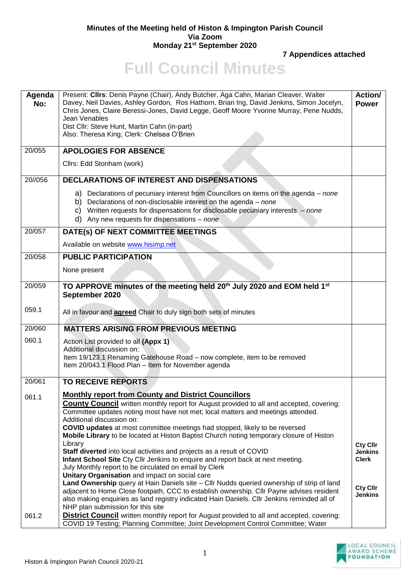## **Minutes of the Meeting held of Histon & Impington Parish Council Via Zoom Monday 21st September 2020**

**7 Appendices attached**

## **Full Council Minutes**

| Agenda<br>No: | Present: Cllrs: Denis Payne (Chair), Andy Butcher, Aga Cahn, Marian Cleaver, Walter<br>Davey, Neil Davies, Ashley Gordon, Ros Hathorn, Brian Ing, David Jenkins, Simon Jocelyn,<br>Chris Jones, Claire Beressi-Jones, David Legge, Geoff Moore Yvonne Murray, Pene Nudds,<br>Jean Venables<br>Dist Cllr: Steve Hunt, Martin Cahn (in-part)<br>Also: Theresa King; Clerk: Chelsea O'Brien                                                                                    | <b>Action/</b><br><b>Power</b>    |
|---------------|-----------------------------------------------------------------------------------------------------------------------------------------------------------------------------------------------------------------------------------------------------------------------------------------------------------------------------------------------------------------------------------------------------------------------------------------------------------------------------|-----------------------------------|
| 20/055        | <b>APOLOGIES FOR ABSENCE</b>                                                                                                                                                                                                                                                                                                                                                                                                                                                |                                   |
|               | Cllrs: Edd Stonham (work)                                                                                                                                                                                                                                                                                                                                                                                                                                                   |                                   |
| 20//056       | <b>DECLARATIONS OF INTEREST AND DISPENSATIONS</b>                                                                                                                                                                                                                                                                                                                                                                                                                           |                                   |
|               | a) Declarations of pecuniary interest from Councillors on items on the agenda – none<br>b) Declarations of non-disclosable interest on the agenda $-$ none<br>c) Written requests for dispensations for disclosable pecuniary interests $-$ none<br>d) Any new requests for dispensations $-$ none                                                                                                                                                                          |                                   |
| 20/057        | DATE(s) OF NEXT COMMITTEE MEETINGS                                                                                                                                                                                                                                                                                                                                                                                                                                          |                                   |
|               | Available on website www.hisimp.net                                                                                                                                                                                                                                                                                                                                                                                                                                         |                                   |
| 20/058        | <b>PUBLIC PARTICIPATION</b>                                                                                                                                                                                                                                                                                                                                                                                                                                                 |                                   |
|               | None present                                                                                                                                                                                                                                                                                                                                                                                                                                                                |                                   |
| 20/059        | TO APPROVE minutes of the meeting held 20 <sup>th</sup> July 2020 and EOM held 1 <sup>st</sup><br>September 2020                                                                                                                                                                                                                                                                                                                                                            |                                   |
| 059.1         | All in favour and <b>agreed</b> Chair to duly sign both sets of minutes                                                                                                                                                                                                                                                                                                                                                                                                     |                                   |
| 20/060        | <b>MATTERS ARISING FROM PREVIOUS MEETING</b>                                                                                                                                                                                                                                                                                                                                                                                                                                |                                   |
| 060.1         | Action List provided to all (Appx 1)<br>Additional discussion on:<br>Item 19/123.1 Renaming Gatehouse Road - now complete, item to be removed<br>Item 20/043.1 Flood Plan - Item for November agenda                                                                                                                                                                                                                                                                        |                                   |
| 20/061        | <b>TO RECEIVE REPORTS</b>                                                                                                                                                                                                                                                                                                                                                                                                                                                   |                                   |
| 061.1         | <b>Monthly report from County and District Councillors</b><br><b>County Council</b> written monthly report for August provided to all and accepted, covering:<br>Committee updates noting most have not met; local matters and meetings attended.<br>Additional discussion on:<br><b>COVID updates</b> at most committee meetings had stopped, likely to be reversed<br>Mobile Library to be located at Histon Baptist Church noting temporary closure of Histon<br>Library | <b>Cty Cllr</b>                   |
|               | Staff diverted into local activities and projects as a result of COVID<br>Infant School Site Cty Cllr Jenkins to enquire and report back at next meeting.<br>July Monthly report to be circulated on email by Clerk<br>Unitary Organisation and impact on social care                                                                                                                                                                                                       | <b>Jenkins</b><br><b>Clerk</b>    |
|               | Land Ownership query at Hain Daniels site - Cllr Nudds queried ownership of strip of land<br>adjacent to Home Close footpath, CCC to establish ownership. Cllr Payne advises resident<br>also making enquiries as land registry indicated Hain Daniels. Cllr Jenkins reminded all of<br>NHP plan submission for this site                                                                                                                                                   | <b>Cty Cllr</b><br><b>Jenkins</b> |
| 061.2         | <b>District Council</b> written monthly report for August provided to all and accepted, covering:<br>COVID 19 Testing; Planning Committee; Joint Development Control Committee; Water                                                                                                                                                                                                                                                                                       |                                   |

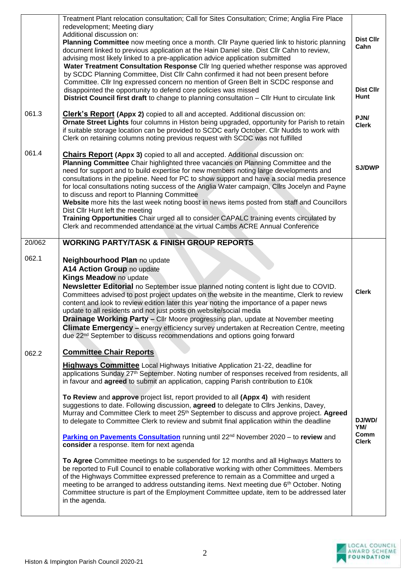|        | Treatment Plant relocation consultation; Call for Sites Consultation; Crime; Anglia Fire Place<br>redevelopment; Meeting diary<br>Additional discussion on:<br>Planning Committee now meeting once a month. Cllr Payne queried link to historic planning<br>document linked to previous application at the Hain Daniel site. Dist Cllr Cahn to review,<br>advising most likely linked to a pre-application advice application submitted<br>Water Treatment Consultation Response Cllr Ing queried whether response was approved<br>by SCDC Planning Committee, Dist Cllr Cahn confirmed it had not been present before<br>Committee. Cllr Ing expressed concern no mention of Green Belt in SCDC response and<br>disappointed the opportunity to defend core policies was missed<br>District Council first draft to change to planning consultation - Cllr Hunt to circulate link                                                                                                                                                                                                                                                                                                                                                                                                                                              | <b>Dist Cllr</b><br>Cahn<br><b>Dist Cllr</b><br>Hunt |
|--------|--------------------------------------------------------------------------------------------------------------------------------------------------------------------------------------------------------------------------------------------------------------------------------------------------------------------------------------------------------------------------------------------------------------------------------------------------------------------------------------------------------------------------------------------------------------------------------------------------------------------------------------------------------------------------------------------------------------------------------------------------------------------------------------------------------------------------------------------------------------------------------------------------------------------------------------------------------------------------------------------------------------------------------------------------------------------------------------------------------------------------------------------------------------------------------------------------------------------------------------------------------------------------------------------------------------------------------|------------------------------------------------------|
| 061.3  | <b>Clerk's Report (Appx 2)</b> copied to all and accepted. Additional discussion on:<br>Ornate Street Lights four columns in Histon being upgraded, opportunity for Parish to retain<br>if suitable storage location can be provided to SCDC early October. Cllr Nudds to work with<br>Clerk on retaining columns noting previous request with SCDC was not fulfilled                                                                                                                                                                                                                                                                                                                                                                                                                                                                                                                                                                                                                                                                                                                                                                                                                                                                                                                                                          | PJN/<br><b>Clerk</b>                                 |
| 061.4  | <b>Chairs Report (Appx 3)</b> copied to all and accepted. Additional discussion on:<br>Planning Committee Chair highlighted three vacancies on Planning Committee and the<br>need for support and to build expertise for new members noting large developments and<br>consultations in the pipeline. Need for PC to show support and have a social media presence<br>for local consultations noting success of the Anglia Water campaign, Cllrs Jocelyn and Payne<br>to discuss and report to Planning Committee<br>Website more hits the last week noting boost in news items posted from staff and Councillors<br>Dist Cllr Hunt left the meeting<br>Training Opportunities Chair urged all to consider CAPALC training events circulated by<br>Clerk and recommended attendance at the virtual Cambs ACRE Annual Conference                                                                                                                                                                                                                                                                                                                                                                                                                                                                                                 | <b>SJ/DWP</b>                                        |
| 20/062 | <b>WORKING PARTY/TASK &amp; FINISH GROUP REPORTS</b>                                                                                                                                                                                                                                                                                                                                                                                                                                                                                                                                                                                                                                                                                                                                                                                                                                                                                                                                                                                                                                                                                                                                                                                                                                                                           |                                                      |
| 062.1  | Neighbourhood Plan no update<br>A14 Action Group no update<br>Kings Meadow no update<br><b>Newsletter Editorial</b> no September issue planned noting content is light due to COVID.<br>Committees advised to post project updates on the website in the meantime, Clerk to review<br>content and look to review edition later this year noting the importance of a paper news<br>update to all residents and not just posts on website/social media<br>Drainage Working Party - Cllr Moore progressing plan, update at November meeting<br><b>Climate Emergency</b> - energy efficiency survey undertaken at Recreation Centre, meeting<br>due 22 <sup>nd</sup> September to discuss recommendations and options going forward                                                                                                                                                                                                                                                                                                                                                                                                                                                                                                                                                                                                | <b>Clerk</b>                                         |
| 062.2  | <b>Committee Chair Reports</b>                                                                                                                                                                                                                                                                                                                                                                                                                                                                                                                                                                                                                                                                                                                                                                                                                                                                                                                                                                                                                                                                                                                                                                                                                                                                                                 |                                                      |
|        | <b>Highways Committee</b> Local Highways Initiative Application 21-22, deadline for<br>applications Sunday 27 <sup>th</sup> September. Noting number of responses received from residents, all<br>in favour and agreed to submit an application, capping Parish contribution to £10k<br>To Review and approve project list, report provided to all (Appx 4) with resident<br>suggestions to date. Following discussion, agreed to delegate to Cllrs Jenkins, Davey,<br>Murray and Committee Clerk to meet 25 <sup>th</sup> September to discuss and approve project. Agreed<br>to delegate to Committee Clerk to review and submit final application within the deadline<br>Parking on Pavements Consultation running until 22 <sup>nd</sup> November 2020 – to review and<br>consider a response. Item for next agenda<br>To Agree Committee meetings to be suspended for 12 months and all Highways Matters to<br>be reported to Full Council to enable collaborative working with other Committees. Members<br>of the Highways Committee expressed preference to remain as a Committee and urged a<br>meeting to be arranged to address outstanding items. Next meeting due 6 <sup>th</sup> October. Noting<br>Committee structure is part of the Employment Committee update, item to be addressed later<br>in the agenda. | DJ/WD/<br>YM/<br>Comm<br><b>Clerk</b>                |
|        |                                                                                                                                                                                                                                                                                                                                                                                                                                                                                                                                                                                                                                                                                                                                                                                                                                                                                                                                                                                                                                                                                                                                                                                                                                                                                                                                |                                                      |

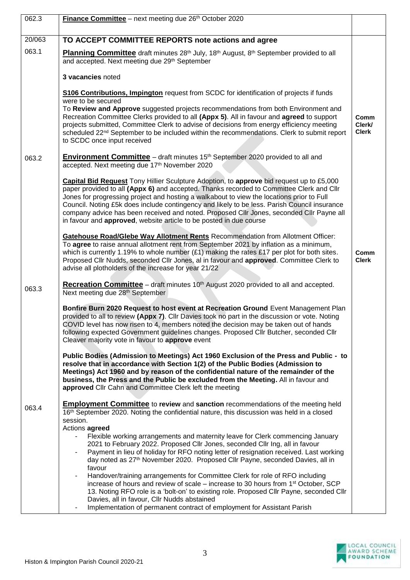| 062.3  | Finance Committee - next meeting due 26th October 2020                                                                                                                                                                                                                                                                                                                                                                                                                                                                                                      |                                |
|--------|-------------------------------------------------------------------------------------------------------------------------------------------------------------------------------------------------------------------------------------------------------------------------------------------------------------------------------------------------------------------------------------------------------------------------------------------------------------------------------------------------------------------------------------------------------------|--------------------------------|
|        |                                                                                                                                                                                                                                                                                                                                                                                                                                                                                                                                                             |                                |
| 20/063 | TO ACCEPT COMMITTEE REPORTS note actions and agree                                                                                                                                                                                                                                                                                                                                                                                                                                                                                                          |                                |
| 063.1  | Planning Committee draft minutes 28 <sup>th</sup> July, 18 <sup>th</sup> August, 8 <sup>th</sup> September provided to all<br>and accepted. Next meeting due 29th September                                                                                                                                                                                                                                                                                                                                                                                 |                                |
|        | 3 vacancies noted                                                                                                                                                                                                                                                                                                                                                                                                                                                                                                                                           |                                |
|        | S106 Contributions, Impington request from SCDC for identification of projects if funds<br>were to be secured                                                                                                                                                                                                                                                                                                                                                                                                                                               |                                |
|        | To Review and Approve suggested projects recommendations from both Environment and<br>Recreation Committee Clerks provided to all (Appx 5). All in favour and agreed to support<br>projects submitted, Committee Clerk to advise of decisions from energy efficiency meeting<br>scheduled 22 <sup>nd</sup> September to be included within the recommendations. Clerk to submit report<br>to SCDC once input received                                                                                                                                       | Comm<br>Clerk/<br><b>Clerk</b> |
| 063.2  | <b>Environment Committee</b> – draft minutes 15 <sup>th</sup> September 2020 provided to all and<br>accepted. Next meeting due 17th November 2020                                                                                                                                                                                                                                                                                                                                                                                                           |                                |
|        | Capital Bid Request Tony Hillier Sculpture Adoption, to approve bid request up to £5,000<br>paper provided to all (Appx 6) and accepted. Thanks recorded to Committee Clerk and Cllr<br>Jones for progressing project and hosting a walkabout to view the locations prior to Full<br>Council. Noting £5k does include contingency and likely to be less. Parish Council insurance<br>company advice has been received and noted. Proposed Cllr Jones, seconded Cllr Payne all<br>in favour and <b>approved</b> , website article to be posted in due course |                                |
|        | <b>Gatehouse Road/Glebe Way Allotment Rents Recommendation from Allotment Officer:</b><br>To agree to raise annual allotment rent from September 2021 by inflation as a minimum,<br>which is currently 1.19% to whole number $(E1)$ making the rates £17 per plot for both sites.<br>Proposed Cllr Nudds, seconded Cllr Jones, al in favour and approved. Committee Clerk to<br>advise all plotholders of the increase for year 21/22                                                                                                                       | Comm<br><b>Clerk</b>           |
| 063.3  | Recreation Committee - draft minutes 10 <sup>th</sup> August 2020 provided to all and accepted.<br>Next meeting due 28 <sup>th</sup> September                                                                                                                                                                                                                                                                                                                                                                                                              |                                |
|        | Bonfire Burn 2020 Request to host event at Recreation Ground Event Management Plan<br>provided to all to review (Appx 7). Cllr Davies took no part in the discussion or vote. Noting<br>COVID level has now risen to 4, members noted the decision may be taken out of hands<br>following expected Government guidelines changes. Proposed Cllr Butcher, seconded Cllr<br>Cleaver majority vote in favour to approve event                                                                                                                                  |                                |
|        | Public Bodies (Admission to Meetings) Act 1960 Exclusion of the Press and Public - to<br>resolve that in accordance with Section 1(2) of the Public Bodies (Admission to<br>Meetings) Act 1960 and by reason of the confidential nature of the remainder of the<br>business, the Press and the Public be excluded from the Meeting. All in favour and<br>approved Cllr Cahn and Committee Clerk left the meeting                                                                                                                                            |                                |
| 063.4  | <b>Employment Committee</b> to review and sanction recommendations of the meeting held<br>16th September 2020. Noting the confidential nature, this discussion was held in a closed<br>session.                                                                                                                                                                                                                                                                                                                                                             |                                |
|        | Actions agreed<br>Flexible working arrangements and maternity leave for Clerk commencing January<br>2021 to February 2022. Proposed Cllr Jones, seconded Cllr Ing, all in favour<br>Payment in lieu of holiday for RFO noting letter of resignation received. Last working<br>day noted as 27 <sup>th</sup> November 2020. Proposed Cllr Payne, seconded Davies, all in<br>favour                                                                                                                                                                           |                                |
|        | Handover/training arrangements for Committee Clerk for role of RFO including<br>increase of hours and review of scale – increase to 30 hours from 1 <sup>st</sup> October, SCP<br>13. Noting RFO role is a 'bolt-on' to existing role. Proposed Cllr Payne, seconded Cllr<br>Davies, all in favour, Cllr Nudds abstained<br>Implementation of permanent contract of employment for Assistant Parish                                                                                                                                                         |                                |